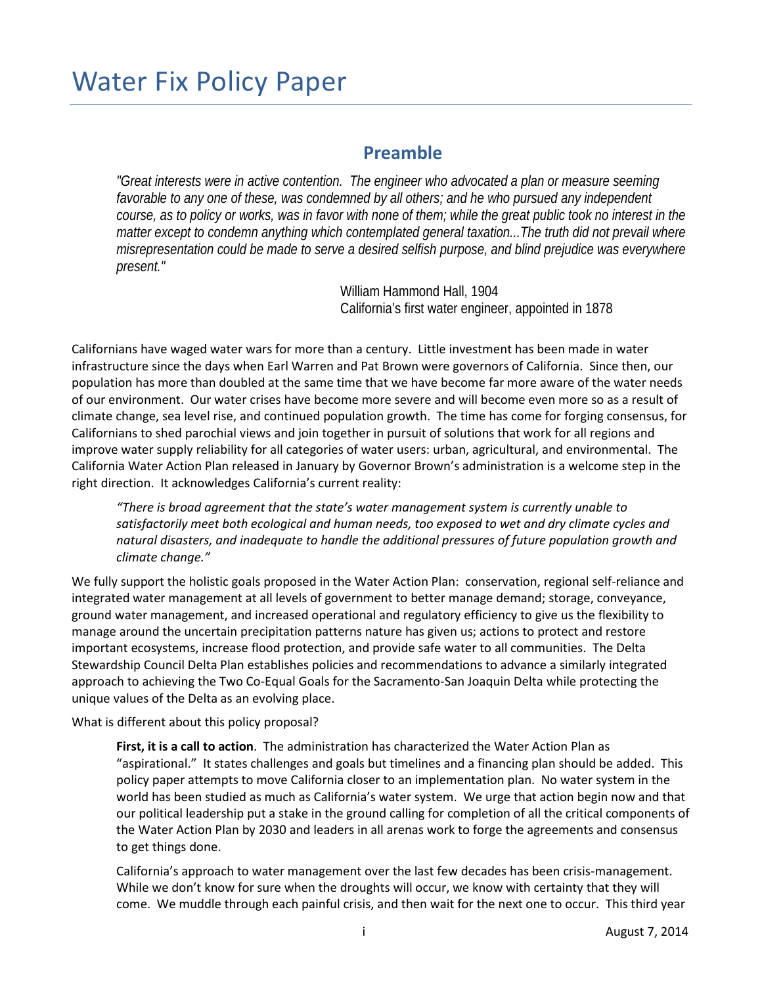# Water Fix Policy Paper

## **Preamble**

*"Great interests were in active contention. The engineer who advocated a plan or measure seeming*  favorable to any one of these, was condemned by all others; and he who pursued any independent *course, as to policy or works, was in favor with none of them; while the great public took no interest in the matter except to condemn anything which contemplated general taxation...The truth did not prevail where misrepresentation could be made to serve a desired selfish purpose, and blind prejudice was everywhere present."*

> William Hammond Hall, 1904 California's first water engineer, appointed in 1878

Californians have waged water wars for more than a century. Little investment has been made in water infrastructure since the days when Earl Warren and Pat Brown were governors of California. Since then, our population has more than doubled at the same time that we have become far more aware of the water needs of our environment. Our water crises have become more severe and will become even more so as a result of climate change, sea level rise, and continued population growth. The time has come for forging consensus, for Californians to shed parochial views and join together in pursuit of solutions that work for all regions and improve water supply reliability for all categories of water users: urban, agricultural, and environmental. The California Water Action Plan released in January by Governor Brown's administration is a welcome step in the right direction. It acknowledges California's current reality:

*"There is broad agreement that the state's water management system is currently unable to satisfactorily meet both ecological and human needs, too exposed to wet and dry climate cycles and natural disasters, and inadequate to handle the additional pressures of future population growth and climate change."*

We fully support the holistic goals proposed in the Water Action Plan: conservation, regional self-reliance and integrated water management at all levels of government to better manage demand; storage, conveyance, ground water management, and increased operational and regulatory efficiency to give us the flexibility to manage around the uncertain precipitation patterns nature has given us; actions to protect and restore important ecosystems, increase flood protection, and provide safe water to all communities. The Delta Stewardship Council Delta Plan establishes policies and recommendations to advance a similarly integrated approach to achieving the Two Co-Equal Goals for the Sacramento-San Joaquin Delta while protecting the unique values of the Delta as an evolving place.

What is different about this policy proposal?

**First, it is a call to action**. The administration has characterized the Water Action Plan as "aspirational." It states challenges and goals but timelines and a financing plan should be added. This policy paper attempts to move California closer to an implementation plan. No water system in the world has been studied as much as California's water system. We urge that action begin now and that our political leadership put a stake in the ground calling for completion of all the critical components of the Water Action Plan by 2030 and leaders in all arenas work to forge the agreements and consensus to get things done.

California's approach to water management over the last few decades has been crisis-management. While we don't know for sure when the droughts will occur, we know with certainty that they will come. We muddle through each painful crisis, and then wait for the next one to occur. This third year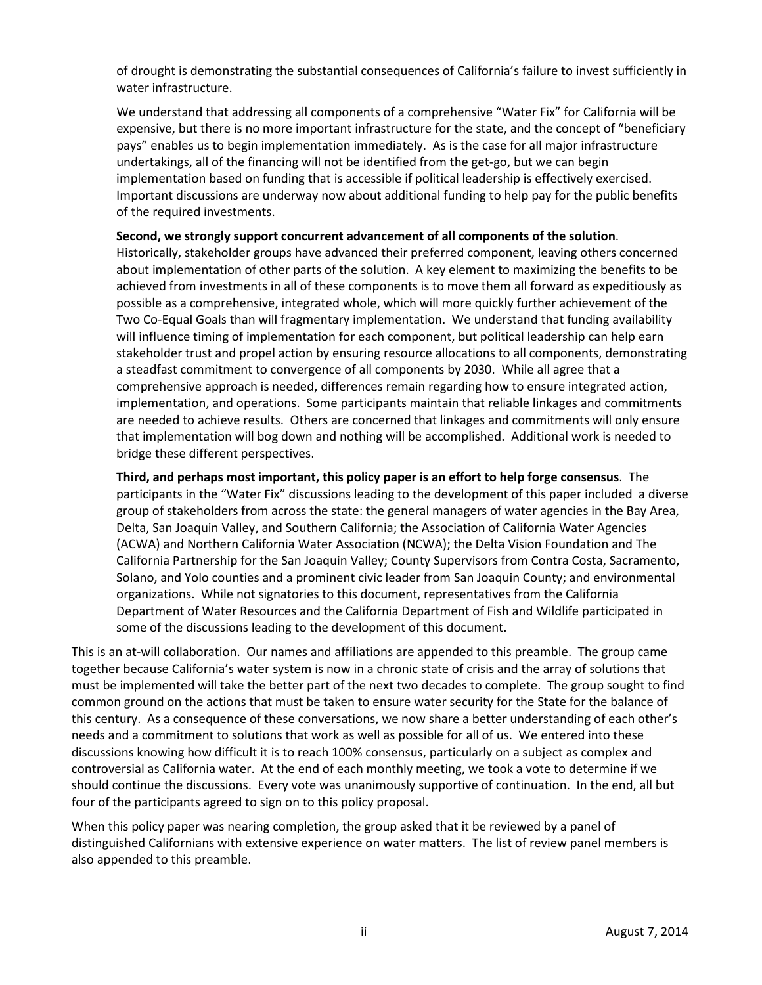of drought is demonstrating the substantial consequences of California's failure to invest sufficiently in water infrastructure.

We understand that addressing all components of a comprehensive "Water Fix" for California will be expensive, but there is no more important infrastructure for the state, and the concept of "beneficiary pays" enables us to begin implementation immediately. As is the case for all major infrastructure undertakings, all of the financing will not be identified from the get-go, but we can begin implementation based on funding that is accessible if political leadership is effectively exercised. Important discussions are underway now about additional funding to help pay for the public benefits of the required investments.

### **Second, we strongly support concurrent advancement of all components of the solution**.

Historically, stakeholder groups have advanced their preferred component, leaving others concerned about implementation of other parts of the solution. A key element to maximizing the benefits to be achieved from investments in all of these components is to move them all forward as expeditiously as possible as a comprehensive, integrated whole, which will more quickly further achievement of the Two Co-Equal Goals than will fragmentary implementation. We understand that funding availability will influence timing of implementation for each component, but political leadership can help earn stakeholder trust and propel action by ensuring resource allocations to all components, demonstrating a steadfast commitment to convergence of all components by 2030. While all agree that a comprehensive approach is needed, differences remain regarding how to ensure integrated action, implementation, and operations. Some participants maintain that reliable linkages and commitments are needed to achieve results. Others are concerned that linkages and commitments will only ensure that implementation will bog down and nothing will be accomplished. Additional work is needed to bridge these different perspectives.

**Third, and perhaps most important, this policy paper is an effort to help forge consensus**. The participants in the "Water Fix" discussions leading to the development of this paper included a diverse group of stakeholders from across the state: the general managers of water agencies in the Bay Area, Delta, San Joaquin Valley, and Southern California; the Association of California Water Agencies (ACWA) and Northern California Water Association (NCWA); the Delta Vision Foundation and The California Partnership for the San Joaquin Valley; County Supervisors from Contra Costa, Sacramento, Solano, and Yolo counties and a prominent civic leader from San Joaquin County; and environmental organizations. While not signatories to this document, representatives from the California Department of Water Resources and the California Department of Fish and Wildlife participated in some of the discussions leading to the development of this document.

This is an at-will collaboration. Our names and affiliations are appended to this preamble. The group came together because California's water system is now in a chronic state of crisis and the array of solutions that must be implemented will take the better part of the next two decades to complete. The group sought to find common ground on the actions that must be taken to ensure water security for the State for the balance of this century. As a consequence of these conversations, we now share a better understanding of each other's needs and a commitment to solutions that work as well as possible for all of us. We entered into these discussions knowing how difficult it is to reach 100% consensus, particularly on a subject as complex and controversial as California water. At the end of each monthly meeting, we took a vote to determine if we should continue the discussions. Every vote was unanimously supportive of continuation. In the end, all but four of the participants agreed to sign on to this policy proposal.

When this policy paper was nearing completion, the group asked that it be reviewed by a panel of distinguished Californians with extensive experience on water matters. The list of review panel members is also appended to this preamble.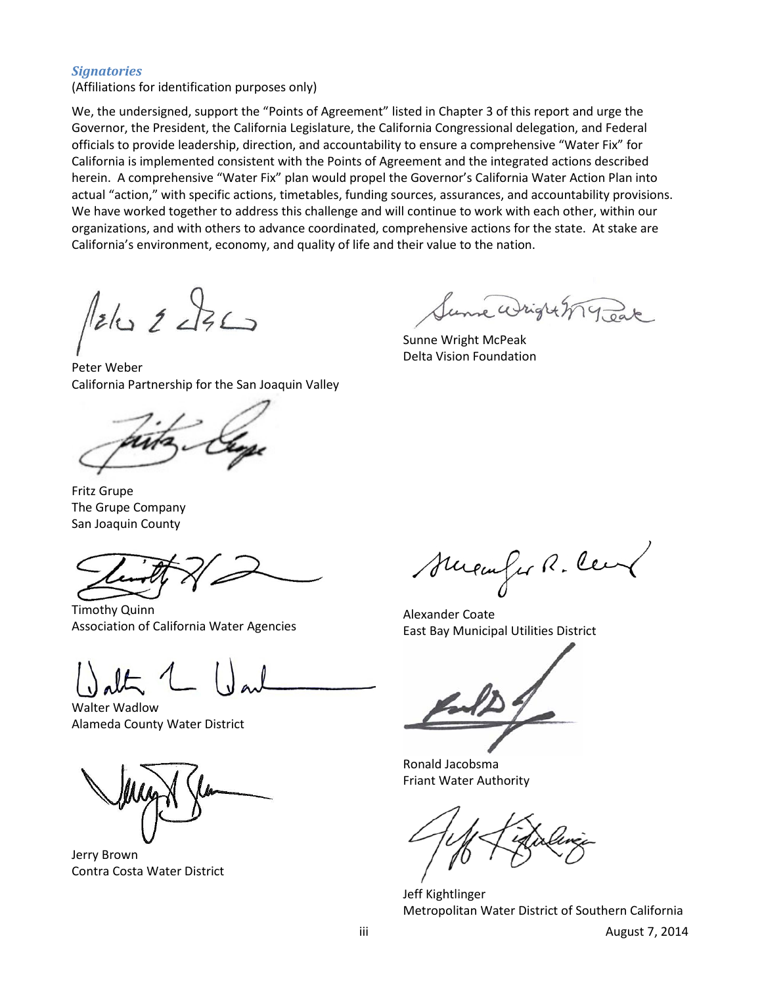### *Signatories*

(Affiliations for identification purposes only)

We, the undersigned, support the "Points of Agreement" listed in Chapter 3 of this report and urge the Governor, the President, the California Legislature, the California Congressional delegation, and Federal officials to provide leadership, direction, and accountability to ensure a comprehensive "Water Fix" for California is implemented consistent with the Points of Agreement and the integrated actions described herein. A comprehensive "Water Fix" plan would propel the Governor's California Water Action Plan into actual "action," with specific actions, timetables, funding sources, assurances, and accountability provisions. We have worked together to address this challenge and will continue to work with each other, within our organizations, and with others to advance coordinated, comprehensive actions for the state. At stake are California's environment, economy, and quality of life and their value to the nation.

Pelo 2 236

Peter Weber California Partnership for the San Joaquin Valley

Fritz Grupe The Grupe Company San Joaquin County

Timothy Quinn Association of California Water Agencies

Walter Wadlow Alameda County Water District

Jerry Brown Contra Costa Water District

re Wright M Jeak

Sunne Wright McPeak Delta Vision Foundation

Suremfus R. Cen

Alexander Coate East Bay Municipal Utilities District

Ronald Jacobsma Friant Water Authority

Jeff Kightlinger Metropolitan Water District of Southern California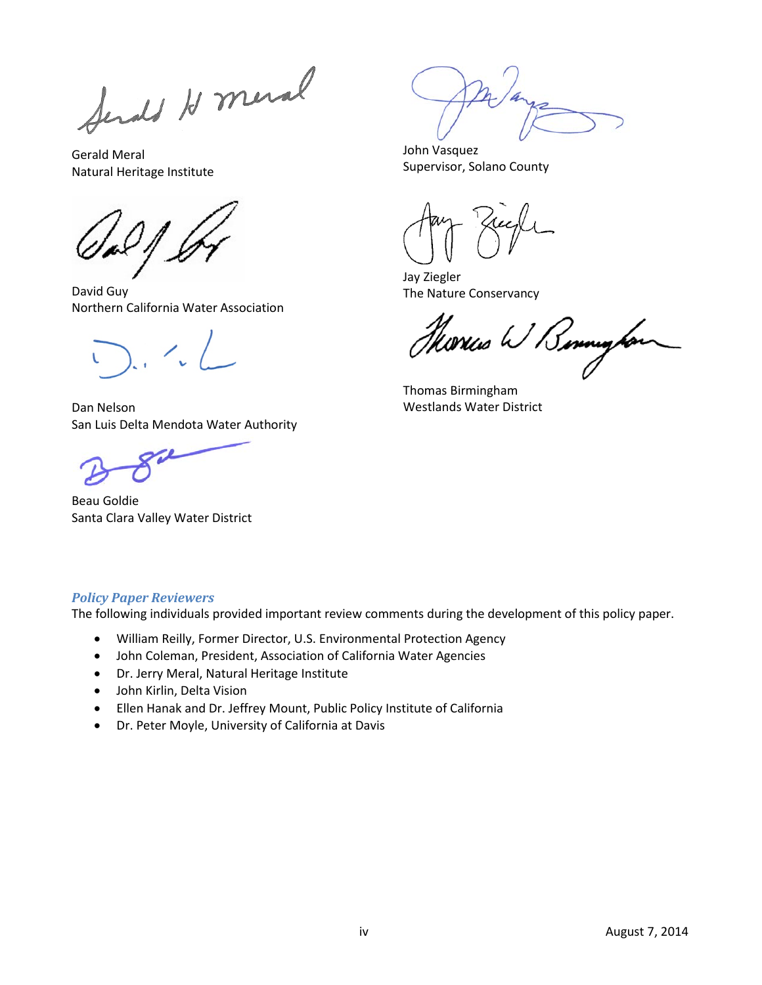Sends H meral

Gerald Meral Natural Heritage Institute

David Guy Northern California Water Association

Dan Nelson San Luis Delta Mendota Water Authority

Beau Goldie Santa Clara Valley Water District

John Vasquez Supervisor, Solano County

Jay Ziegler The Nature Conservancy

Horics W Bennington

Thomas Birmingham Westlands Water District

## *Policy Paper Reviewers*

The following individuals provided important review comments during the development of this policy paper.

- William Reilly, Former Director, U.S. Environmental Protection Agency
- John Coleman, President, Association of California Water Agencies
- Dr. Jerry Meral, Natural Heritage Institute
- John Kirlin, Delta Vision
- Ellen Hanak and Dr. Jeffrey Mount, Public Policy Institute of California
- Dr. Peter Moyle, University of California at Davis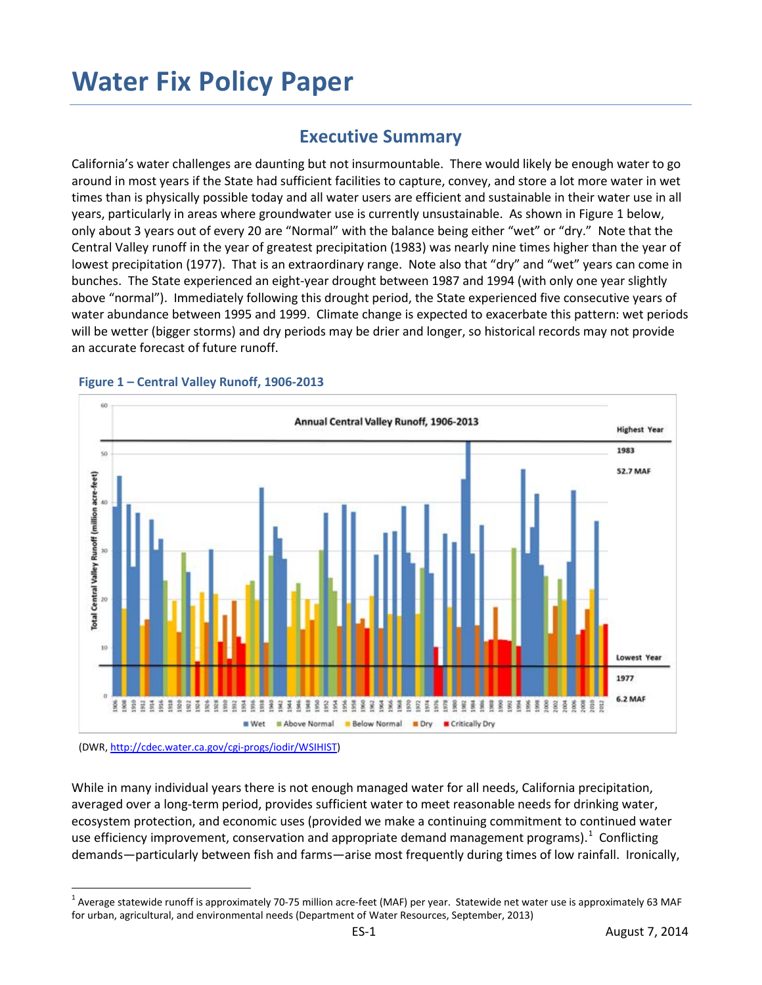# **Water Fix Policy Paper**

# **Executive Summary**

California's water challenges are daunting but not insurmountable. There would likely be enough water to go around in most years if the State had sufficient facilities to capture, convey, and store a lot more water in wet times than is physically possible today and all water users are efficient and sustainable in their water use in all years, particularly in areas where groundwater use is currently unsustainable. As shown in Figure 1 below, only about 3 years out of every 20 are "Normal" with the balance being either "wet" or "dry." Note that the Central Valley runoff in the year of greatest precipitation (1983) was nearly nine times higher than the year of lowest precipitation (1977). That is an extraordinary range. Note also that "dry" and "wet" years can come in bunches. The State experienced an eight-year drought between 1987 and 1994 (with only one year slightly above "normal"). Immediately following this drought period, the State experienced five consecutive years of water abundance between 1995 and 1999. Climate change is expected to exacerbate this pattern: wet periods will be wetter (bigger storms) and dry periods may be drier and longer, so historical records may not provide an accurate forecast of future runoff.



#### **Figure 1 – Central Valley Runoff, 1906-2013**

(DWR[, http://cdec.water.ca.gov/cgi-progs/iodir/WSIHIST\)](http://cdec.water.ca.gov/cgi-progs/iodir/WSIHIST)

While in many individual years there is not enough managed water for all needs, California precipitation, averaged over a long-term period, provides sufficient water to meet reasonable needs for drinking water, ecosystem protection, and economic uses (provided we make a continuing commitment to continued water use efficiency improvement, conservation and appropriate demand management programs).<sup>[1](#page-4-0)</sup> Conflicting demands—particularly between fish and farms—arise most frequently during times of low rainfall. Ironically,

<span id="page-4-0"></span> $1$  Average statewide runoff is approximately 70-75 million acre-feet (MAF) per year. Statewide net water use is approximately 63 MAF for urban, agricultural, and environmental needs (Department of Water Resources, September, 2013)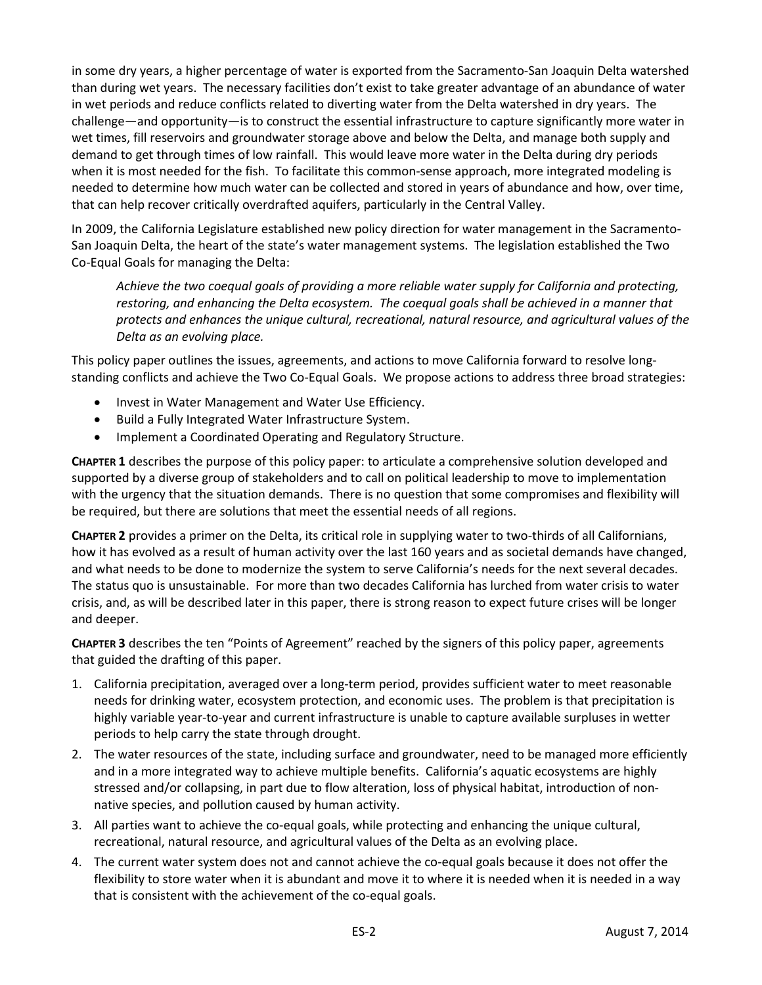in some dry years, a higher percentage of water is exported from the Sacramento-San Joaquin Delta watershed than during wet years. The necessary facilities don't exist to take greater advantage of an abundance of water in wet periods and reduce conflicts related to diverting water from the Delta watershed in dry years. The challenge—and opportunity—is to construct the essential infrastructure to capture significantly more water in wet times, fill reservoirs and groundwater storage above and below the Delta, and manage both supply and demand to get through times of low rainfall. This would leave more water in the Delta during dry periods when it is most needed for the fish. To facilitate this common-sense approach, more integrated modeling is needed to determine how much water can be collected and stored in years of abundance and how, over time, that can help recover critically overdrafted aquifers, particularly in the Central Valley.

In 2009, the California Legislature established new policy direction for water management in the Sacramento-San Joaquin Delta, the heart of the state's water management systems. The legislation established the Two Co-Equal Goals for managing the Delta:

*Achieve the two coequal goals of providing a more reliable water supply for California and protecting, restoring, and enhancing the Delta ecosystem. The coequal goals shall be achieved in a manner that protects and enhances the unique cultural, recreational, natural resource, and agricultural values of the Delta as an evolving place.*

This policy paper outlines the issues, agreements, and actions to move California forward to resolve longstanding conflicts and achieve the Two Co-Equal Goals. We propose actions to address three broad strategies:

- Invest in Water Management and Water Use Efficiency.
- Build a Fully Integrated Water Infrastructure System.
- Implement a Coordinated Operating and Regulatory Structure.

**CHAPTER 1** describes the purpose of this policy paper: to articulate a comprehensive solution developed and supported by a diverse group of stakeholders and to call on political leadership to move to implementation with the urgency that the situation demands. There is no question that some compromises and flexibility will be required, but there are solutions that meet the essential needs of all regions.

**CHAPTER 2** provides a primer on the Delta, its critical role in supplying water to two-thirds of all Californians, how it has evolved as a result of human activity over the last 160 years and as societal demands have changed, and what needs to be done to modernize the system to serve California's needs for the next several decades. The status quo is unsustainable. For more than two decades California has lurched from water crisis to water crisis, and, as will be described later in this paper, there is strong reason to expect future crises will be longer and deeper.

**CHAPTER 3** describes the ten "Points of Agreement" reached by the signers of this policy paper, agreements that guided the drafting of this paper.

- 1. California precipitation, averaged over a long-term period, provides sufficient water to meet reasonable needs for drinking water, ecosystem protection, and economic uses. The problem is that precipitation is highly variable year-to-year and current infrastructure is unable to capture available surpluses in wetter periods to help carry the state through drought.
- 2. The water resources of the state, including surface and groundwater, need to be managed more efficiently and in a more integrated way to achieve multiple benefits. California's aquatic ecosystems are highly stressed and/or collapsing, in part due to flow alteration, loss of physical habitat, introduction of nonnative species, and pollution caused by human activity.
- 3. All parties want to achieve the co-equal goals, while protecting and enhancing the unique cultural, recreational, natural resource, and agricultural values of the Delta as an evolving place.
- 4. The current water system does not and cannot achieve the co-equal goals because it does not offer the flexibility to store water when it is abundant and move it to where it is needed when it is needed in a way that is consistent with the achievement of the co-equal goals.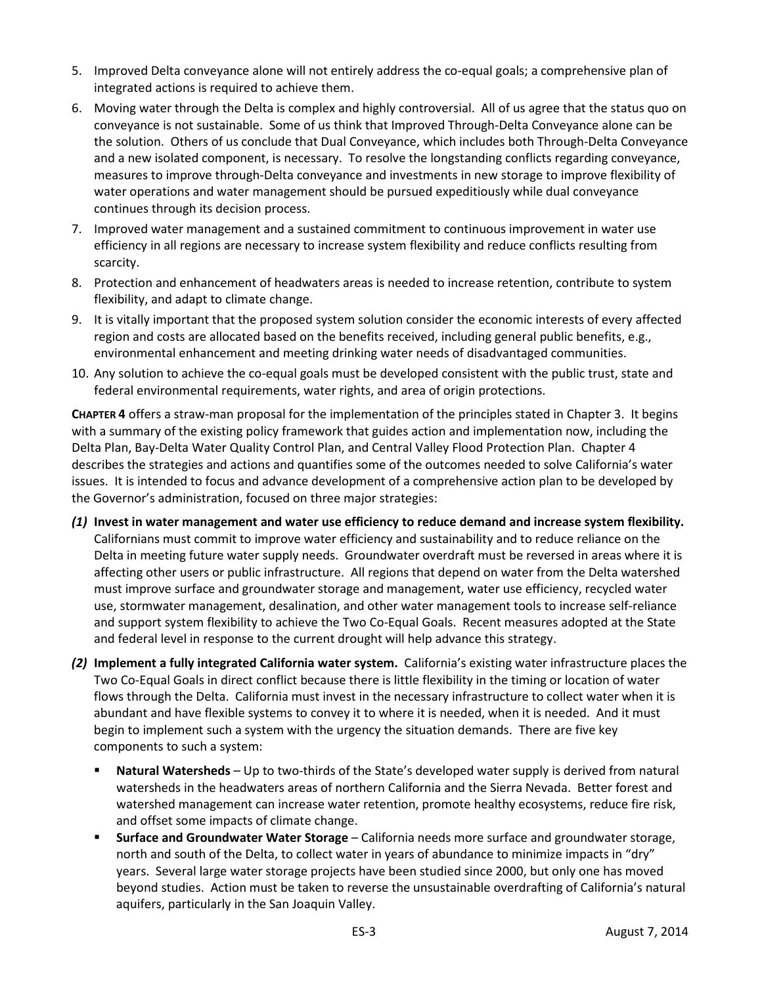- 5. Improved Delta conveyance alone will not entirely address the co-equal goals; a comprehensive plan of integrated actions is required to achieve them.
- 6. Moving water through the Delta is complex and highly controversial. All of us agree that the status quo on conveyance is not sustainable. Some of us think that Improved Through-Delta Conveyance alone can be the solution. Others of us conclude that Dual Conveyance, which includes both Through-Delta Conveyance and a new isolated component, is necessary. To resolve the longstanding conflicts regarding conveyance, measures to improve through-Delta conveyance and investments in new storage to improve flexibility of water operations and water management should be pursued expeditiously while dual conveyance continues through its decision process.
- 7. Improved water management and a sustained commitment to continuous improvement in water use efficiency in all regions are necessary to increase system flexibility and reduce conflicts resulting from scarcity.
- 8. Protection and enhancement of headwaters areas is needed to increase retention, contribute to system flexibility, and adapt to climate change.
- 9. It is vitally important that the proposed system solution consider the economic interests of every affected region and costs are allocated based on the benefits received, including general public benefits, e.g., environmental enhancement and meeting drinking water needs of disadvantaged communities.
- 10. Any solution to achieve the co-equal goals must be developed consistent with the public trust, state and federal environmental requirements, water rights, and area of origin protections.

**CHAPTER 4** offers a straw-man proposal for the implementation of the principles stated in Chapter 3. It begins with a summary of the existing policy framework that guides action and implementation now, including the Delta Plan, Bay-Delta Water Quality Control Plan, and Central Valley Flood Protection Plan. Chapter 4 describes the strategies and actions and quantifies some of the outcomes needed to solve California's water issues. It is intended to focus and advance development of a comprehensive action plan to be developed by the Governor's administration, focused on three major strategies:

- *(1)* **Invest in water management and water use efficiency to reduce demand and increase system flexibility.** Californians must commit to improve water efficiency and sustainability and to reduce reliance on the Delta in meeting future water supply needs. Groundwater overdraft must be reversed in areas where it is affecting other users or public infrastructure. All regions that depend on water from the Delta watershed must improve surface and groundwater storage and management, water use efficiency, recycled water use, stormwater management, desalination, and other water management tools to increase self-reliance and support system flexibility to achieve the Two Co-Equal Goals. Recent measures adopted at the State and federal level in response to the current drought will help advance this strategy.
- *(2)* **Implement a fully integrated California water system.** California's existing water infrastructure places the Two Co-Equal Goals in direct conflict because there is little flexibility in the timing or location of water flows through the Delta. California must invest in the necessary infrastructure to collect water when it is abundant and have flexible systems to convey it to where it is needed, when it is needed. And it must begin to implement such a system with the urgency the situation demands. There are five key components to such a system:
	- **Natural Watersheds**  Up to two-thirds of the State's developed water supply is derived from natural watersheds in the headwaters areas of northern California and the Sierra Nevada. Better forest and watershed management can increase water retention, promote healthy ecosystems, reduce fire risk, and offset some impacts of climate change.
	- **Surface and Groundwater Water Storage** California needs more surface and groundwater storage, north and south of the Delta, to collect water in years of abundance to minimize impacts in "dry" years. Several large water storage projects have been studied since 2000, but only one has moved beyond studies. Action must be taken to reverse the unsustainable overdrafting of California's natural aquifers, particularly in the San Joaquin Valley.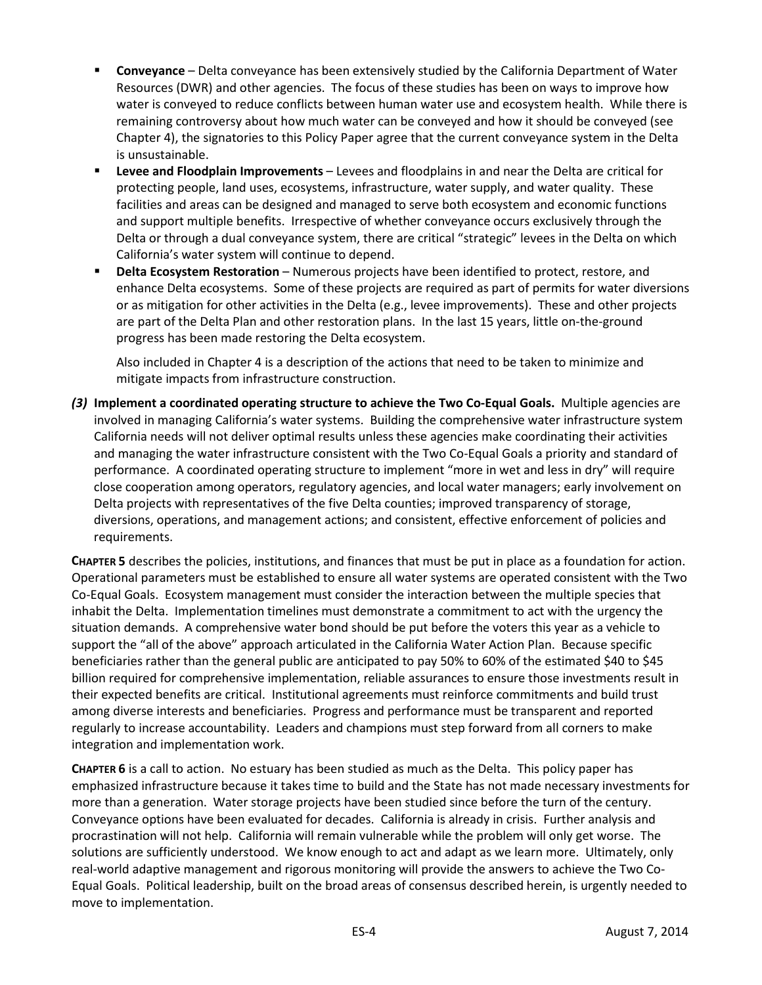- **Conveyance** Delta conveyance has been extensively studied by the California Department of Water Resources (DWR) and other agencies. The focus of these studies has been on ways to improve how water is conveyed to reduce conflicts between human water use and ecosystem health. While there is remaining controversy about how much water can be conveyed and how it should be conveyed (see Chapter 4), the signatories to this Policy Paper agree that the current conveyance system in the Delta is unsustainable.
- **Levee and Floodplain Improvements** Levees and floodplains in and near the Delta are critical for protecting people, land uses, ecosystems, infrastructure, water supply, and water quality. These facilities and areas can be designed and managed to serve both ecosystem and economic functions and support multiple benefits. Irrespective of whether conveyance occurs exclusively through the Delta or through a dual conveyance system, there are critical "strategic" levees in the Delta on which California's water system will continue to depend.
- **Philter Excepts Properts Property Projects have been identified to protect, restore, and protect and protect and** enhance Delta ecosystems. Some of these projects are required as part of permits for water diversions or as mitigation for other activities in the Delta (e.g., levee improvements). These and other projects are part of the Delta Plan and other restoration plans. In the last 15 years, little on-the-ground progress has been made restoring the Delta ecosystem.

Also included in Chapter 4 is a description of the actions that need to be taken to minimize and mitigate impacts from infrastructure construction.

*(3)* **Implement a coordinated operating structure to achieve the Two Co-Equal Goals.** Multiple agencies are involved in managing California's water systems. Building the comprehensive water infrastructure system California needs will not deliver optimal results unless these agencies make coordinating their activities and managing the water infrastructure consistent with the Two Co-Equal Goals a priority and standard of performance. A coordinated operating structure to implement "more in wet and less in dry" will require close cooperation among operators, regulatory agencies, and local water managers; early involvement on Delta projects with representatives of the five Delta counties; improved transparency of storage, diversions, operations, and management actions; and consistent, effective enforcement of policies and requirements.

**CHAPTER 5** describes the policies, institutions, and finances that must be put in place as a foundation for action. Operational parameters must be established to ensure all water systems are operated consistent with the Two Co-Equal Goals. Ecosystem management must consider the interaction between the multiple species that inhabit the Delta. Implementation timelines must demonstrate a commitment to act with the urgency the situation demands. A comprehensive water bond should be put before the voters this year as a vehicle to support the "all of the above" approach articulated in the California Water Action Plan. Because specific beneficiaries rather than the general public are anticipated to pay 50% to 60% of the estimated \$40 to \$45 billion required for comprehensive implementation, reliable assurances to ensure those investments result in their expected benefits are critical. Institutional agreements must reinforce commitments and build trust among diverse interests and beneficiaries. Progress and performance must be transparent and reported regularly to increase accountability. Leaders and champions must step forward from all corners to make integration and implementation work.

**CHAPTER 6** is a call to action. No estuary has been studied as much as the Delta. This policy paper has emphasized infrastructure because it takes time to build and the State has not made necessary investments for more than a generation. Water storage projects have been studied since before the turn of the century. Conveyance options have been evaluated for decades. California is already in crisis. Further analysis and procrastination will not help. California will remain vulnerable while the problem will only get worse. The solutions are sufficiently understood. We know enough to act and adapt as we learn more. Ultimately, only real-world adaptive management and rigorous monitoring will provide the answers to achieve the Two Co-Equal Goals. Political leadership, built on the broad areas of consensus described herein, is urgently needed to move to implementation.